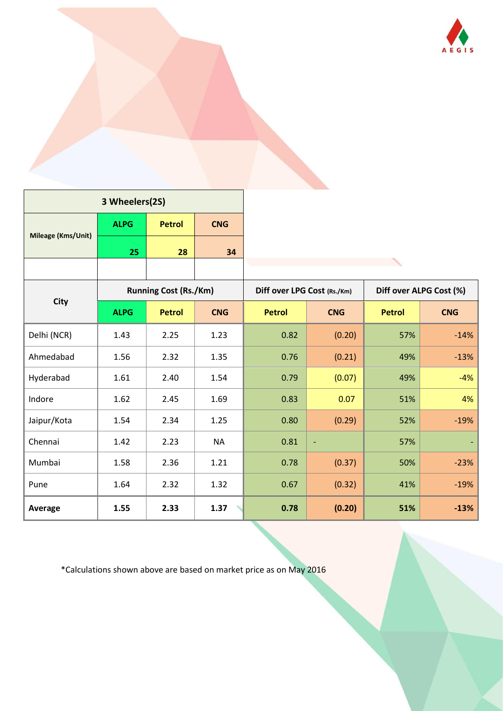

| 3 Wheelers(2S)     |             |                              |            |                             |                |                         |            |  |
|--------------------|-------------|------------------------------|------------|-----------------------------|----------------|-------------------------|------------|--|
| Mileage (Kms/Unit) | <b>ALPG</b> | <b>Petrol</b>                | <b>CNG</b> |                             |                |                         |            |  |
|                    | 25          | 28                           | 34         |                             |                |                         |            |  |
|                    |             |                              |            |                             |                |                         |            |  |
| <b>City</b>        |             | <b>Running Cost (Rs./Km)</b> |            | Diff over LPG Cost (Rs./Km) |                | Diff over ALPG Cost (%) |            |  |
|                    | <b>ALPG</b> | <b>Petrol</b>                | <b>CNG</b> | <b>Petrol</b>               | <b>CNG</b>     | <b>Petrol</b>           | <b>CNG</b> |  |
| Delhi (NCR)        | 1.43        | 2.25                         | 1.23       | 0.82                        | (0.20)         | 57%                     | $-14%$     |  |
| Ahmedabad          | 1.56        | 2.32                         | 1.35       | 0.76                        | (0.21)         | 49%                     | $-13%$     |  |
| Hyderabad          | 1.61        | 2.40                         | 1.54       | 0.79                        | (0.07)         | 49%                     | $-4%$      |  |
| Indore             | 1.62        | 2.45                         | 1.69       | 0.83                        | 0.07           | 51%                     | 4%         |  |
| Jaipur/Kota        | 1.54        | 2.34                         | 1.25       | 0.80                        | (0.29)         | 52%                     | $-19%$     |  |
| Chennai            | 1.42        | 2.23                         | <b>NA</b>  | 0.81                        | $\blacksquare$ | 57%                     |            |  |
| Mumbai             | 1.58        | 2.36                         | 1.21       | 0.78                        | (0.37)         | 50%                     | $-23%$     |  |
| Pune               | 1.64        | 2.32                         | 1.32       | 0.67                        | (0.32)         | 41%                     | $-19%$     |  |
| Average            | 1.55        | 2.33                         | 1.37       | 0.78                        | (0.20)         | 51%                     | $-13%$     |  |

\*Calculations shown above are based on market price as on May 2016